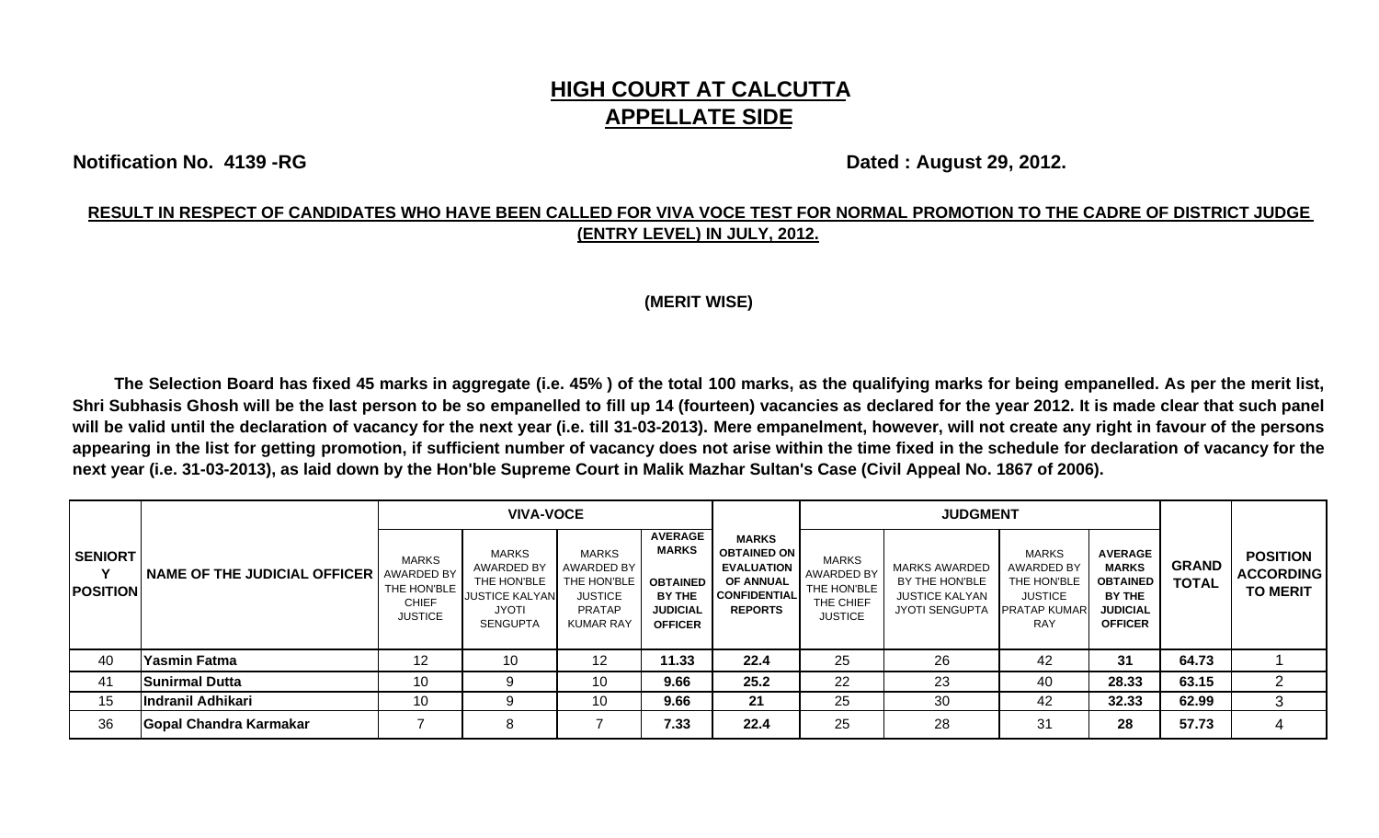# **HIGH COURT AT CALCUTTA APPELLATE SIDE**

**Notification No. 4139 -RG** Dated : August 29, 2012.

### **RESULT IN RESPECT OF CANDIDATES WHO HAVE BEEN CALLED FOR VIVA VOCE TEST FOR NORMAL PROMOTION TO THE CADRE OF DISTRICT JUDGE (ENTRY LEVEL) IN JULY, 2012.**

#### **(MERIT WISE)**

The Selection Board has fixed 45 marks in aggregate (i.e. 45%) of the total 100 marks, as the qualifying marks for being empanelled. As per the merit list, Shri Subhasis Ghosh will be the last person to be so empanelled to fill up 14 (fourteen) vacancies as declared for the year 2012. It is made clear that such panel will be valid until the declaration of vacancy for the next year (i.e. till 31-03-2013). Mere empanelment, however, will not create any right in favour of the persons appearing in the list for getting promotion, if sufficient number of vacancy does not arise within the time fixed in the schedule for declaration of vacancy for the **next year (i.e. 31-03-2013), as laid down by the Hon'ble Supreme Court in Malik Mazhar Sultan's Case (Civil Appeal No. 1867 of 2006).** 

| <b>SENIORT</b><br><b>POSITION</b> | <b>NAME OF THE JUDICIAL OFFICER   AWARDED BY</b> | <b>VIVA-VOCE</b>                                       |                                                                                         |                                                                                                  |                                                                                                  |                                                                                                                      |                                                                          | <b>JUDGMENT</b>                                                                          |                                                                                           |                                                                                                  |                              |                                                        |
|-----------------------------------|--------------------------------------------------|--------------------------------------------------------|-----------------------------------------------------------------------------------------|--------------------------------------------------------------------------------------------------|--------------------------------------------------------------------------------------------------|----------------------------------------------------------------------------------------------------------------------|--------------------------------------------------------------------------|------------------------------------------------------------------------------------------|-------------------------------------------------------------------------------------------|--------------------------------------------------------------------------------------------------|------------------------------|--------------------------------------------------------|
|                                   |                                                  | MARKS<br>THE HON'BLE<br><b>CHIEF</b><br><b>JUSTICE</b> | MARKS<br>AWARDED BY<br>THE HON'BLE<br><b>JUSTICE KALYAN</b><br>JYOTI<br><b>SENGUPTA</b> | <b>MARKS</b><br>AWARDED BY<br>THE HON'BLE<br><b>JUSTICE</b><br><b>PRATAP</b><br><b>KUMAR RAY</b> | <b>AVERAGE</b><br><b>MARKS</b><br><b>OBTAINED</b><br>BY THE<br><b>JUDICIAL</b><br><b>OFFICER</b> | <b>MARKS</b><br><b>OBTAINED ON</b><br><b>EVALUATION</b><br><b>OF ANNUAL</b><br><b>CONFIDENTIAL</b><br><b>REPORTS</b> | MARKS<br><b>AWARDED BY</b><br>THE HON'BLE<br>THE CHIEF<br><b>JUSTICE</b> | <b>MARKS AWARDED</b><br>BY THE HON'BLE<br><b>JUSTICE KALYAN</b><br><b>JYOTI SENGUPTA</b> | <b>MARKS</b><br>AWARDED BY<br>THE HON'BLE<br><b>JUSTICE</b><br>PRATAP KUMAR<br><b>RAY</b> | <b>AVERAGE</b><br><b>MARKS</b><br><b>OBTAINED</b><br>BY THE<br><b>JUDICIAL</b><br><b>OFFICER</b> | <b>GRAND</b><br><b>TOTAL</b> | <b>POSITION</b><br><b>ACCORDING</b><br><b>TO MERIT</b> |
| 40                                | <b>Yasmin Fatma</b>                              | 12                                                     | 10                                                                                      | 12                                                                                               | 11.33                                                                                            | 22.4                                                                                                                 | 25                                                                       | 26                                                                                       | 42                                                                                        | 31                                                                                               | 64.73                        |                                                        |
| 41                                | <b>Sunirmal Dutta</b>                            | 10                                                     |                                                                                         | 10                                                                                               | 9.66                                                                                             | 25.2                                                                                                                 | 22                                                                       | 23                                                                                       | 40                                                                                        | 28.33                                                                                            | 63.15                        | $\overline{2}$                                         |
| 15                                | Indranil Adhikari                                | 10 <sup>°</sup>                                        |                                                                                         | 10                                                                                               | 9.66                                                                                             | 21                                                                                                                   | 25                                                                       | 30                                                                                       | 42                                                                                        | 32.33                                                                                            | 62.99                        | 3                                                      |
| 36                                | Gopal Chandra Karmakar                           |                                                        | 8                                                                                       |                                                                                                  | 7.33                                                                                             | 22.4                                                                                                                 | 25                                                                       | 28                                                                                       | 31                                                                                        | 28                                                                                               | 57.73                        | 4                                                      |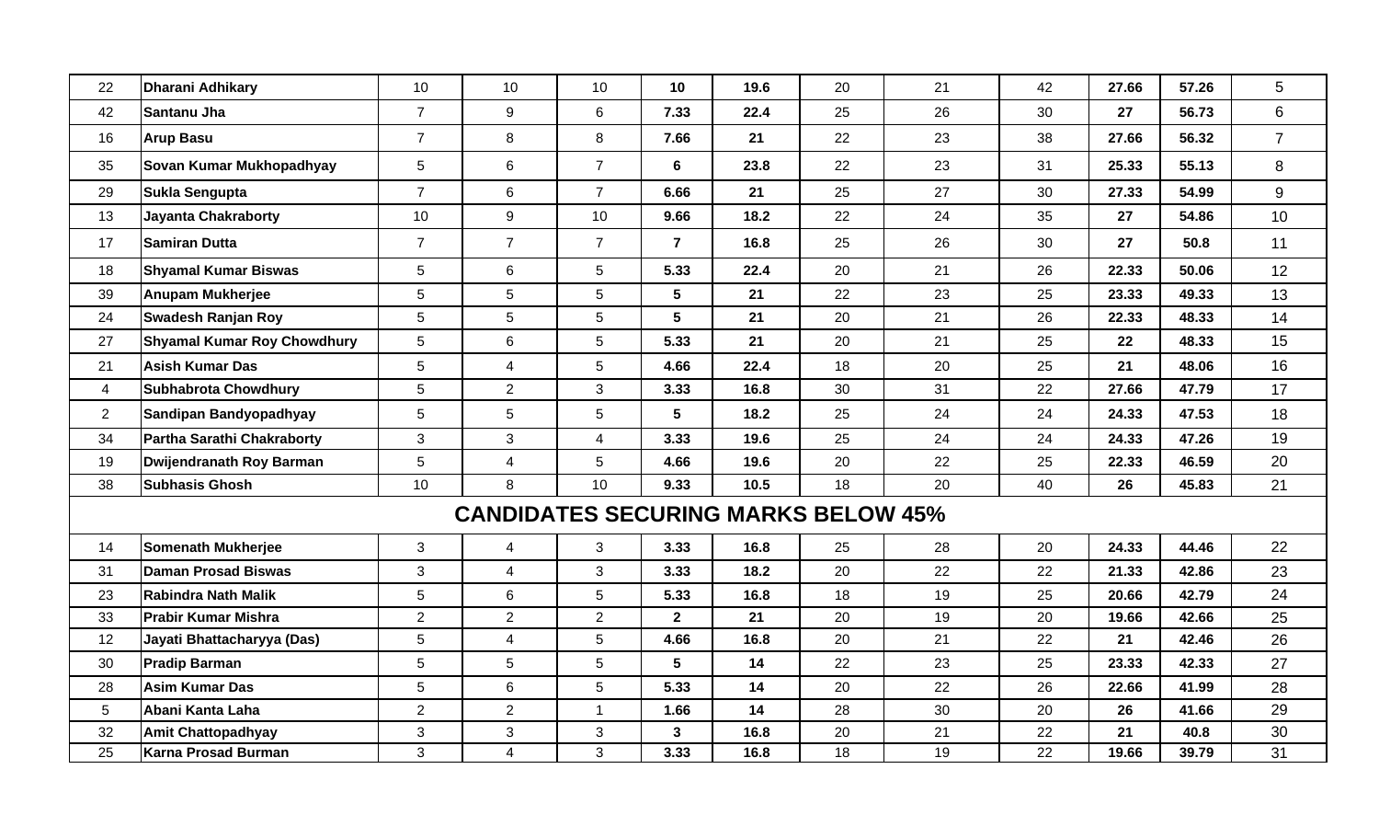| 22              | <b>Dharani Adhikary</b>            | 10             | 10                                         | 10              | 10              | 19.6   | 20 | 21 | 42 | 27.66 | 57.26 | 5               |
|-----------------|------------------------------------|----------------|--------------------------------------------|-----------------|-----------------|--------|----|----|----|-------|-------|-----------------|
| 42              | Santanu Jha                        | $\overline{7}$ | 9                                          | 6               | 7.33            | 22.4   | 25 | 26 | 30 | 27    | 56.73 | 6               |
| 16              | <b>Arup Basu</b>                   | $\overline{7}$ | $\bf 8$                                    | 8               | 7.66            | 21     | 22 | 23 | 38 | 27.66 | 56.32 | $\overline{7}$  |
| 35              | Sovan Kumar Mukhopadhyay           | 5              | 6                                          | $\overline{7}$  | 6               | 23.8   | 22 | 23 | 31 | 25.33 | 55.13 | 8               |
| 29              | <b>Sukla Sengupta</b>              | $\overline{7}$ | 6                                          | $\overline{7}$  | 6.66            | 21     | 25 | 27 | 30 | 27.33 | 54.99 | 9               |
| 13              | <b>Jayanta Chakraborty</b>         | 10             | 9                                          | 10              | 9.66            | 18.2   | 22 | 24 | 35 | 27    | 54.86 | 10 <sup>°</sup> |
| 17              | <b>Samiran Dutta</b>               | $\overline{7}$ | $\overline{7}$                             | $\overline{7}$  | $\overline{7}$  | 16.8   | 25 | 26 | 30 | 27    | 50.8  | 11              |
| 18              | <b>Shyamal Kumar Biswas</b>        | 5              | 6                                          | 5               | 5.33            | 22.4   | 20 | 21 | 26 | 22.33 | 50.06 | 12              |
| 39              | <b>Anupam Mukherjee</b>            | 5              | $5\overline{)}$                            | 5               | $5\phantom{1}$  | 21     | 22 | 23 | 25 | 23.33 | 49.33 | 13              |
| 24              | <b>Swadesh Ranjan Roy</b>          | 5              | $5\phantom{.0}$                            | 5               | $5\phantom{.0}$ | 21     | 20 | 21 | 26 | 22.33 | 48.33 | 14              |
| 27              | <b>Shyamal Kumar Roy Chowdhury</b> | 5              | $6\phantom{a}$                             | 5               | 5.33            | 21     | 20 | 21 | 25 | 22    | 48.33 | 15              |
| 21              | <b>Asish Kumar Das</b>             | 5              | $\overline{\mathbf{4}}$                    | 5               | 4.66            | 22.4   | 18 | 20 | 25 | 21    | 48.06 | 16              |
| $\overline{4}$  | <b>Subhabrota Chowdhury</b>        | 5              | $\overline{2}$                             | 3               | 3.33            | 16.8   | 30 | 31 | 22 | 27.66 | 47.79 | 17              |
| 2               | Sandipan Bandyopadhyay             | 5              | 5                                          | $5\phantom{.0}$ | 5               | 18.2   | 25 | 24 | 24 | 24.33 | 47.53 | 18              |
| 34              | Partha Sarathi Chakraborty         | 3              | $\mathbf{3}$                               | $\overline{4}$  | 3.33            | 19.6   | 25 | 24 | 24 | 24.33 | 47.26 | 19              |
| 19              | <b>Dwijendranath Roy Barman</b>    | 5              | $\overline{4}$                             | 5               | 4.66            | 19.6   | 20 | 22 | 25 | 22.33 | 46.59 | 20              |
| 38              | <b>Subhasis Ghosh</b>              | 10             | 8                                          | 10              | 9.33            | $10.5$ | 18 | 20 | 40 | 26    | 45.83 | 21              |
|                 |                                    |                | <b>CANDIDATES SECURING MARKS BELOW 45%</b> |                 |                 |        |    |    |    |       |       |                 |
| 14              | <b>Somenath Mukherjee</b>          | 3              | $\overline{4}$                             | 3               | 3.33            | 16.8   | 25 | 28 | 20 | 24.33 | 44.46 | 22              |
| 31              | <b>Daman Prosad Biswas</b>         | $\mathbf{3}$   | $\overline{4}$                             | 3               | 3.33            | 18.2   | 20 | 22 | 22 | 21.33 | 42.86 | 23              |
| 23              | Rabindra Nath Malik                | 5              | 6                                          | 5               | 5.33            | 16.8   | 18 | 19 | 25 | 20.66 | 42.79 | 24              |
| 33              | <b>Prabir Kumar Mishra</b>         | $\overline{2}$ | $\overline{2}$                             | $\overline{2}$  | $\overline{2}$  | 21     | 20 | 19 | 20 | 19.66 | 42.66 | 25              |
| 12              | Jayati Bhattacharyya (Das)         | 5              | $\overline{4}$                             | 5               | 4.66            | 16.8   | 20 | 21 | 22 | 21    | 42.46 | 26              |
| 30              | <b>Pradip Barman</b>               | 5              | 5                                          | 5               | 5               | 14     | 22 | 23 | 25 | 23.33 | 42.33 | 27              |
| 28              | <b>Asim Kumar Das</b>              | 5              | $6\phantom{a}$                             | 5               | 5.33            | 14     | 20 | 22 | 26 | 22.66 | 41.99 | 28              |
| $5\phantom{.0}$ | Abani Kanta Laha                   | $\overline{2}$ | $\overline{2}$                             | $\overline{1}$  | 1.66            | 14     | 28 | 30 | 20 | 26    | 41.66 | 29              |
| 32              | <b>Amit Chattopadhyay</b>          | $\mathbf{3}$   | $\mathbf{3}$                               | $\mathbf{3}$    | $\mathbf{3}$    | 16.8   | 20 | 21 | 22 | 21    | 40.8  | 30              |
| 25              | <b>Karna Prosad Burman</b>         | 3              | $\overline{4}$                             | 3               | 3.33            | 16.8   | 18 | 19 | 22 | 19.66 | 39.79 | $\overline{31}$ |